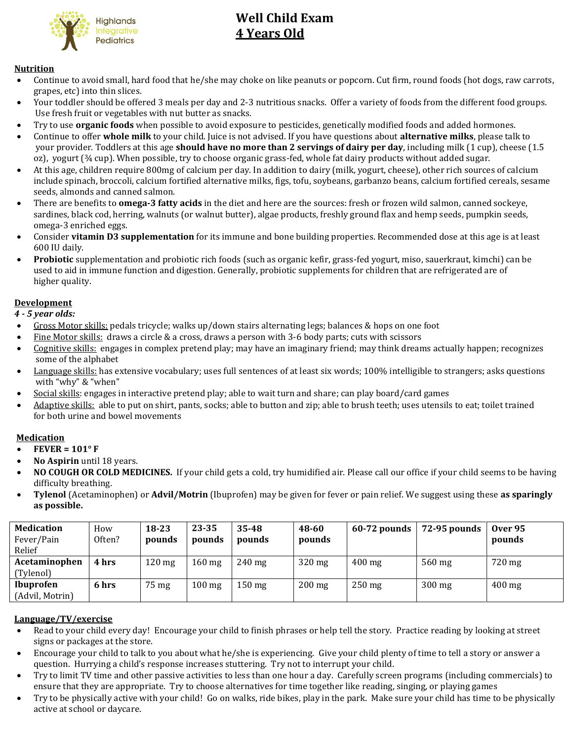

# **Well Child Exam 4 Years Old**

## **Nutrition**

- Continue to avoid small, hard food that he/she may choke on like peanuts or popcorn. Cut firm, round foods (hot dogs, raw carrots, grapes, etc) into thin slices.
- Your toddler should be offered 3 meals per day and 2-3 nutritious snacks. Offer a variety of foods from the different food groups. Use fresh fruit or vegetables with nut butter as snacks.
- Try to use **organic foods** when possible to avoid exposure to pesticides, genetically modified foods and added hormones.
- Continue to offer **whole milk** to your child. Juice is not advised. If you have questions about **alternative milks**, please talk to your provider. Toddlers at this age **should have no more than 2 servings of dairy per day**, including milk (1 cup), cheese (1.5 oz), yogurt (¾ cup). When possible, try to choose organic grass-fed, whole fat dairy products without added sugar.
- At this age, children require 800mg of calcium per day. In addition to dairy (milk, yogurt, cheese), other rich sources of calcium include spinach, broccoli, calcium fortified alternative milks, figs, tofu, soybeans, garbanzo beans, calcium fortified cereals, sesame seeds, almonds and canned salmon.
- There are benefits to **omega-3 fatty acids** in the diet and here are the sources: fresh or frozen wild salmon, canned sockeye, sardines, black cod, herring, walnuts (or walnut butter), algae products, freshly ground flax and hemp seeds, pumpkin seeds, omega-3 enriched eggs.
- Consider **vitamin D3 supplementation** for its immune and bone building properties. Recommended dose at this age is at least 600 IU daily.
- **Probiotic** supplementation and probiotic rich foods (such as organic kefir, grass-fed yogurt, miso, sauerkraut, kimchi) can be used to aid in immune function and digestion. Generally, probiotic supplements for children that are refrigerated are of higher quality.

## **Development**

 *4 - 5 year olds:*

- Gross Motor skills: pedals tricycle; walks up/down stairs alternating legs; balances & hops on one foot
- Fine Motor skills: draws a circle & a cross, draws a person with 3-6 body parts; cuts with scissors
- Cognitive skills: engages in complex pretend play; may have an imaginary friend; may think dreams actually happen; recognizes some of the alphabet
- Language skills: has extensive vocabulary; uses full sentences of at least six words; 100% intelligible to strangers; asks questions with "why" & "when"
- Social skills: engages in interactive pretend play; able to wait turn and share; can play board/card games
- Adaptive skills: able to put on shirt, pants, socks; able to button and zip; able to brush teeth; uses utensils to eat; toilet trained for both urine and bowel movements

## **Medication**

- **FEVER = 101° F**
- **No Aspirin** until 18 years.
- **NO COUGH OR COLD MEDICINES.** If your child gets a cold, try humidified air. Please call our office if your child seems to be having difficulty breathing.
- **Tylenol** (Acetaminophen) or **Advil/Motrin** (Ibuprofen) may be given for fever or pain relief. We suggest using these **as sparingly as possible.**

| <b>Medication</b><br>Fever/Pain<br>Relief | How<br>Often? | 18-23<br>pounds  | 23-35<br>pounds  | 35-48<br>pounds  | 48-60<br>pounds     | 60-72 pounds     | 72-95 pounds | <b>Over 95</b><br>pounds |
|-------------------------------------------|---------------|------------------|------------------|------------------|---------------------|------------------|--------------|--------------------------|
| Acetaminophen                             | 4 hrs         | $120 \text{ mg}$ | 160 mg           | $240 \text{ mg}$ | $320 \text{ mg}$    | $400 \text{ mg}$ | 560 mg       | 720 mg                   |
| (Tylenol)                                 |               |                  |                  |                  |                     |                  |              |                          |
| <b>Ibuprofen</b>                          | 6 hrs         | 75 mg            | $100 \text{ mg}$ | $150 \text{ mg}$ | $200 \,\mathrm{mg}$ | $250 \text{ mg}$ | $300$ mg     | $400 \text{ mg}$         |
| (Advil, Motrin)                           |               |                  |                  |                  |                     |                  |              |                          |

## **Language/TV/exercise**

- Read to your child every day! Encourage your child to finish phrases or help tell the story. Practice reading by looking at street signs or packages at the store.
- Encourage your child to talk to you about what he/she is experiencing. Give your child plenty of time to tell a story or answer a question. Hurrying a child's response increases stuttering. Try not to interrupt your child.
- Try to limit TV time and other passive activities to less than one hour a day. Carefully screen programs (including commercials) to ensure that they are appropriate. Try to choose alternatives for time together like reading, singing, or playing games
- Try to be physically active with your child! Go on walks, ride bikes, play in the park. Make sure your child has time to be physically active at school or daycare.